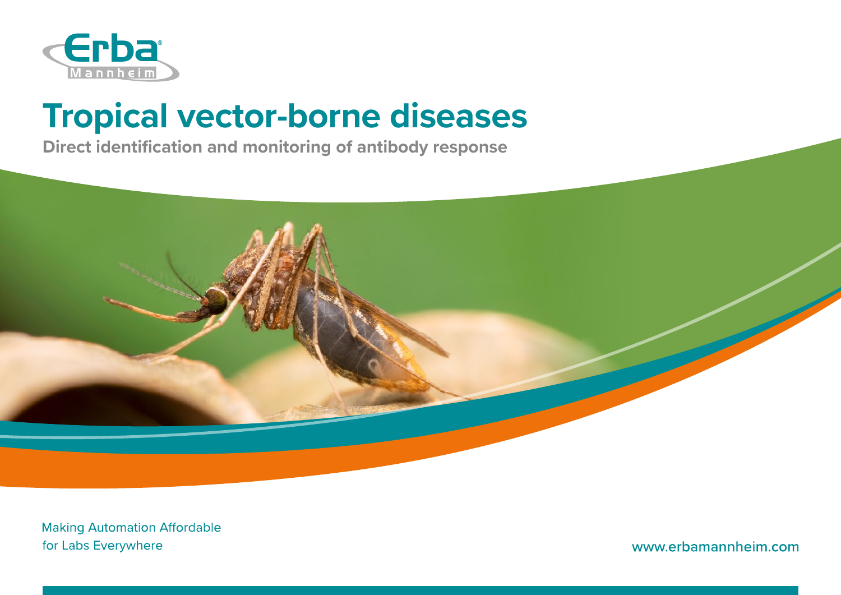

# **Tropical vector-borne diseases**

**Direct identification and monitoring of antibody response**



**Making Automation Affordable** for Labs Everywhere

www.erbamannheim.com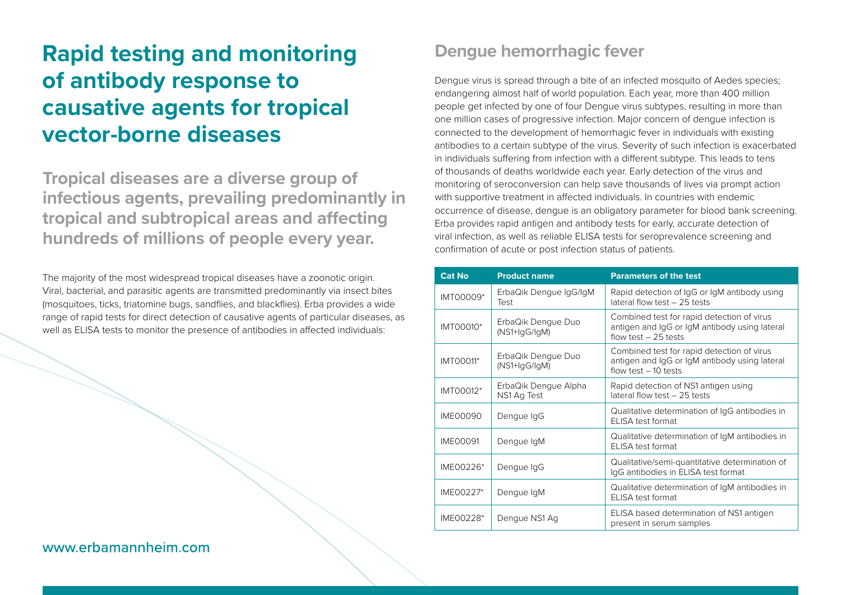# **Rapid testing and monitoring of antibody response to causative agents for tropical vector-borne diseases**

**Tropical diseases are a diverse group of infectious agents, prevailing predominantly in tropical and subtropical areas and affecting hundreds of millions of people every year.**

The majority of the most widespread tropical diseases have a zoonotic origin. Viral, bacterial, and parasitic agents are transmitted predominantly via insect bites (mosquitoes, ticks, triatomine bugs, sandflies, and blackflies). Erba provides a wide range of rapid tests for direct detection of causative agents of particular diseases, as well as ELISA tests to monitor the presence of antibodies in affected individuals:

#### **Dengue hemorrhagic fever**

Dengue virus is spread through a bite of an infected mosquito of Aedes species; endangering almost half of world population. Each year, more than 400 million people get infected by one of four Dengue virus subtypes, resulting in more than one million cases of progressive infection. Major concern of dengue infection is connected to the development of hemorrhagic fever in individuals with existing antibodies to a certain subtype of the virus. Severity of such infection is exacerbated in individuals suffering from infection with a different subtype. This leads to tens of thousands of deaths worldwide each year. Early detection of the virus and monitoring of seroconversion can help save thousands of lives via prompt action with supportive treatment in affected individuals. In countries with endemic occurrence of disease, dengue is an obligatory parameter for blood bank screening. Erba provides rapid antigen and antibody tests for early, accurate detection of viral infection, as well as reliable ELISA tests for seroprevalence screening and confirmation of acute or post infection status of patients.

| <b>Cat No</b>    | <b>Product name</b>                   | <b>Parameters of the test</b>                                                                                        |
|------------------|---------------------------------------|----------------------------------------------------------------------------------------------------------------------|
| IMT00009*        | ErbaQik Dengue IgG/IgM<br>Test        | Rapid detection of IgG or IgM antibody using<br>lateral flow test - 25 tests                                         |
| IMT00010*        | ErbaQik Dengue Duo<br>$(NS1+lgG/lgM)$ | Combined test for rapid detection of virus<br>antigen and IgG or IgM antibody using lateral<br>flow test $-25$ tests |
| <b>IMT00011*</b> | ErbaQik Dengue Duo<br>$(NS1+lgG/lgM)$ | Combined test for rapid detection of virus<br>antigen and IgG or IgM antibody using lateral<br>flow test $-10$ tests |
| IMT00012*        | ErbaQik Dengue Alpha<br>NS1 Ag Test   | Rapid detection of NS1 antigen using<br>lateral flow test - 25 tests                                                 |
| <b>IME00090</b>  | Dengue IgG                            | Qualitative determination of IgG antibodies in<br>FLISA test format                                                  |
| <b>IME00091</b>  | Dengue IgM                            | Qualitative determination of IgM antibodies in<br>FLISA test format                                                  |
| IME00226*        | Dengue IgG                            | Qualitative/semi-quantitative determination of<br>IgG antibodies in ELISA test format                                |
| IME00227*        | Dengue IgM                            | Qualitative determination of IqM antibodies in<br>ELISA test format                                                  |
| IME00228*        | Dengue NS1 Ag                         | ELISA based determination of NS1 antigen<br>present in serum samples                                                 |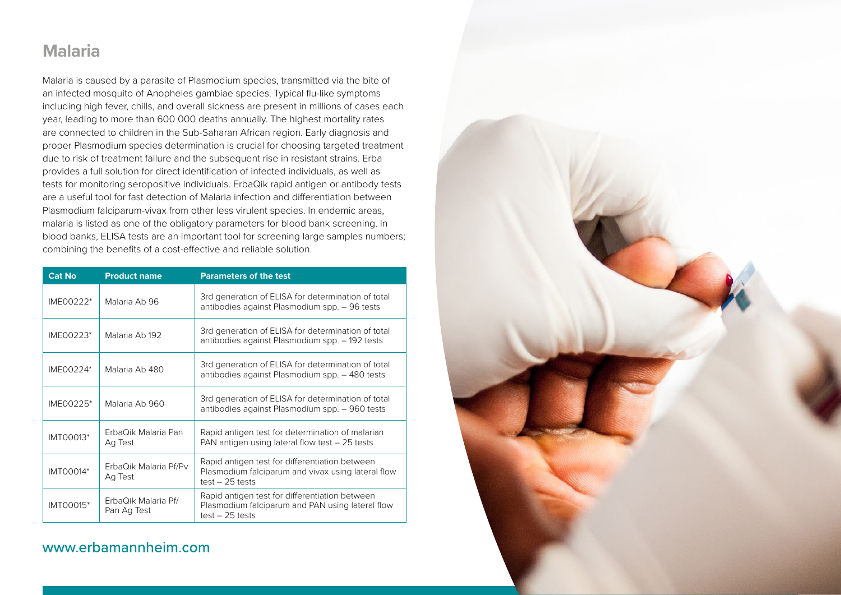#### **Malaria**

Malaria is caused by a parasite of Plasmodium species, transmitted via the bite of an infected mosquito of Anopheles gambiae species. Typical flu-like symptoms including high fever, chills, and overall sickness are present in millions of cases each year, leading to more than 600 000 deaths annually. The highest mortality rates are connected to children in the Sub-Saharan African region. Early diagnosis and proper Plasmodium species determination is crucial for choosing targeted treatment due to risk of treatment failure and the subsequent rise in resistant strains. Erba provides a full solution for direct identification of infected individuals, as well as tests for monitoring seropositive individuals. ErbaQik rapid antigen or antibody tests are a useful tool for fast detection of Malaria infection and differentiation between Plasmodium falciparum-vivax from other less virulent species. In endemic areas, malaria is listed as one of the obligatory parameters for blood bank screening. In blood banks, ELISA tests are an important tool for screening large samples numbers; combining the benefits of a cost-effective and reliable solution.

| <b>Cat No</b> | <b>Product name</b>                | <b>Parameters of the test</b>                                                                                             |
|---------------|------------------------------------|---------------------------------------------------------------------------------------------------------------------------|
| IME00222*     | Malaria Ab 96                      | 3rd generation of ELISA for determination of total<br>antibodies against Plasmodium spp. - 96 tests                       |
| IME00223*     | Malaria Ab 192                     | 3rd generation of ELISA for determination of total<br>antibodies against Plasmodium spp. - 192 tests                      |
| IME00224*     | Malaria Ab 480                     | 3rd generation of ELISA for determination of total<br>antibodies against Plasmodium spp. - 480 tests                      |
| IME00225*     | Malaria Ab 960                     | 3rd generation of ELISA for determination of total<br>antibodies against Plasmodium spp. - 960 tests                      |
| IMT00013*     | ErbaQik Malaria Pan<br>Ag Test     | Rapid antigen test for determination of malarian<br>PAN antigen using lateral flow test $-25$ tests                       |
| IMT00014*     | ErbaQik Malaria Pf/Pv<br>Ag Test   | Rapid antigen test for differentiation between<br>Plasmodium falciparum and vivax using lateral flow<br>$test - 25$ tests |
| IMT00015*     | ErbaQik Malaria Pf/<br>Pan Ag Test | Rapid antigen test for differentiation between<br>Plasmodium falciparum and PAN using lateral flow<br>$test - 25$ tests   |

#### www.erbamannheim.com

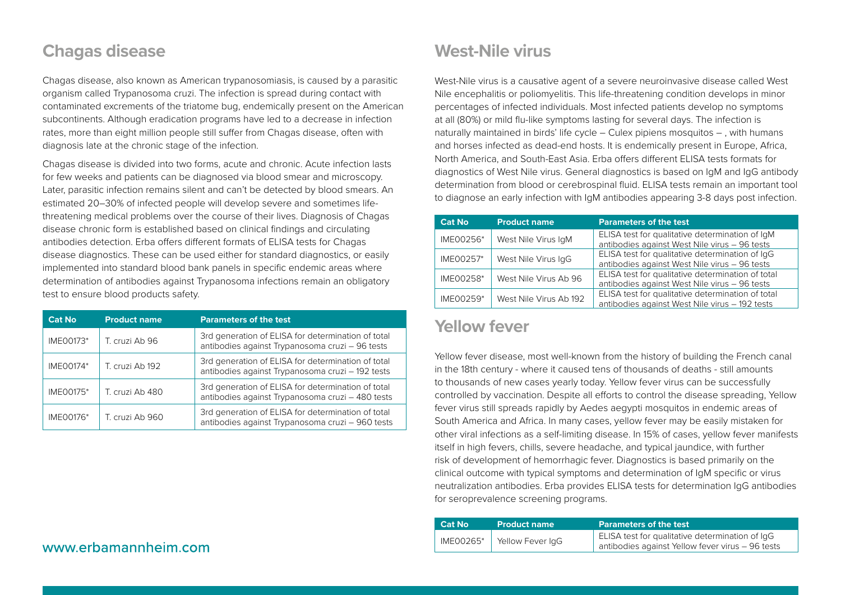#### **Chagas disease**

Chagas disease, also known as American trypanosomiasis, is caused by a parasitic organism called Trypanosoma cruzi. The infection is spread during contact with contaminated excrements of the triatome bug, endemically present on the American subcontinents. Although eradication programs have led to a decrease in infection rates, more than eight million people still suffer from Chagas disease, often with diagnosis late at the chronic stage of the infection.

Chagas disease is divided into two forms, acute and chronic. Acute infection lasts for few weeks and patients can be diagnosed via blood smear and microscopy. Later, parasitic infection remains silent and can't be detected by blood smears. An estimated 20–30% of infected people will develop severe and sometimes lifethreatening medical problems over the course of their lives. Diagnosis of Chagas disease chronic form is established based on clinical findings and circulating antibodies detection. Erba offers different formats of ELISA tests for Chagas disease diagnostics. These can be used either for standard diagnostics, or easily implemented into standard blood bank panels in specific endemic areas where determination of antibodies against Trypanosoma infections remain an obligatory test to ensure blood products safety.

| <b>Cat No</b>    | <b>Product name</b> | <b>Parameters of the test</b>                                                                          |
|------------------|---------------------|--------------------------------------------------------------------------------------------------------|
| IME00173*        | T. cruzi Ab 96      | 3rd generation of ELISA for determination of total<br>antibodies against Trypanosoma cruzi - 96 tests  |
| <b>IMEO0174*</b> | T. cruzi Ab 192     | 3rd generation of ELISA for determination of total<br>antibodies against Trypanosoma cruzi - 192 tests |
| IME00175*        | T. cruzi Ab 480     | 3rd generation of ELISA for determination of total<br>antibodies against Trypanosoma cruzi - 480 tests |
| IME00176*        | T. cruzi Ab 960     | 3rd generation of ELISA for determination of total<br>antibodies against Trypanosoma cruzi - 960 tests |

### **West-Nile virus**

West-Nile virus is a causative agent of a severe neuroinvasive disease called West Nile encephalitis or poliomyelitis. This life-threatening condition develops in minor percentages of infected individuals. Most infected patients develop no symptoms at all (80%) or mild flu-like symptoms lasting for several days. The infection is naturally maintained in birds' life cycle – Culex pipiens mosquitos – , with humans and horses infected as dead-end hosts. It is endemically present in Europe, Africa, North America, and South-East Asia. Erba offers different ELISA tests formats for diagnostics of West Nile virus. General diagnostics is based on IgM and IgG antibody determination from blood or cerebrospinal fluid. ELISA tests remain an important tool to diagnose an early infection with IgM antibodies appearing 3-8 days post infection.

| <b>Cat No</b> | <b>Product name</b>    | <b>Parameters of the test</b>                                                                       |
|---------------|------------------------|-----------------------------------------------------------------------------------------------------|
| IME00256*     | West Nile Virus IgM    | ELISA test for qualitative determination of IqM<br>antibodies against West Nile virus - 96 tests    |
| IME00257*     | West Nile Virus IgG    | ELISA test for qualitative determination of IgG<br>antibodies against West Nile virus - 96 tests    |
| IME00258*     | West Nile Virus Ab 96  | ELISA test for qualitative determination of total<br>antibodies against West Nile virus - 96 tests  |
| IME00259*     | West Nile Virus Ab 192 | ELISA test for qualitative determination of total<br>antibodies against West Nile virus - 192 tests |

#### **Yellow fever**

Yellow fever disease, most well-known from the history of building the French canal in the 18th century - where it caused tens of thousands of deaths - still amounts to thousands of new cases yearly today. Yellow fever virus can be successfully controlled by vaccination. Despite all efforts to control the disease spreading, Yellow fever virus still spreads rapidly by Aedes aegypti mosquitos in endemic areas of South America and Africa. In many cases, yellow fever may be easily mistaken for other viral infections as a self-limiting disease. In 15% of cases, yellow fever manifests itself in high fevers, chills, severe headache, and typical jaundice, with further risk of development of hemorrhagic fever. Diagnostics is based primarily on the clinical outcome with typical symptoms and determination of IgM specific or virus neutralization antibodies. Erba provides ELISA tests for determination IgG antibodies for seroprevalence screening programs.

| <b>Cat No</b> | <b>Product name</b> | <b>Parameters of the test</b>                                                                       |
|---------------|---------------------|-----------------------------------------------------------------------------------------------------|
| IME00265*     | Yellow Fever IgG    | ELISA test for qualitative determination of IgG<br>antibodies against Yellow fever virus - 96 tests |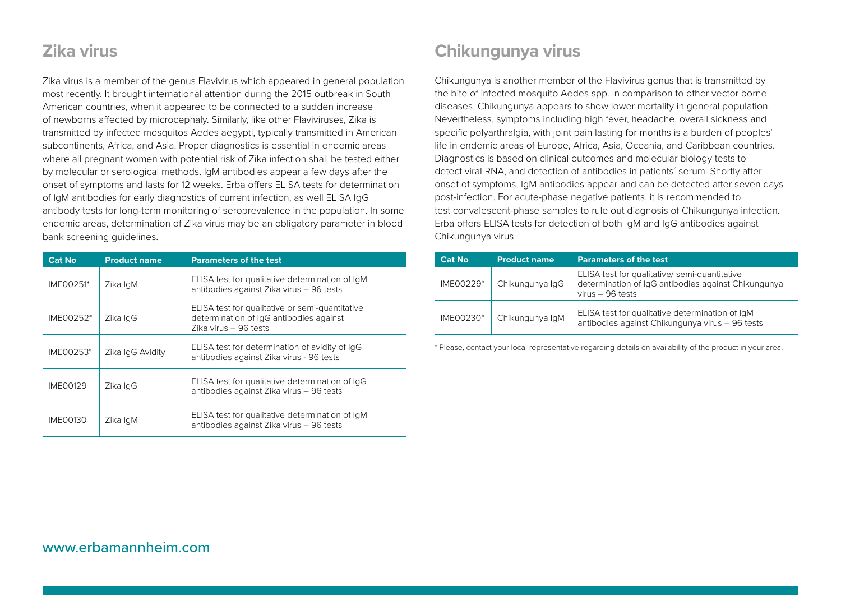### **Zika virus**

Zika virus is a member of the genus Flavivirus which appeared in general population most recently. It brought international attention during the 2015 outbreak in South American countries, when it appeared to be connected to a sudden increase of newborns affected by microcephaly. Similarly, like other Flaviviruses, Zika is transmitted by infected mosquitos Aedes aegypti, typically transmitted in American subcontinents, Africa, and Asia. Proper diagnostics is essential in endemic areas where all pregnant women with potential risk of Zika infection shall be tested either by molecular or serological methods. IgM antibodies appear a few days after the onset of symptoms and lasts for 12 weeks. Erba offers ELISA tests for determination of IgM antibodies for early diagnostics of current infection, as well ELISA IgG antibody tests for long-term monitoring of seroprevalence in the population. In some endemic areas, determination of Zika virus may be an obligatory parameter in blood bank screening guidelines.

| <b>Cat No</b> | <b>Product name</b> | <b>Parameters of the test</b>                                                                                       |
|---------------|---------------------|---------------------------------------------------------------------------------------------------------------------|
| IME00251*     | Zika IgM            | ELISA test for qualitative determination of IqM<br>antibodies against Zika virus - 96 tests                         |
| IME00252*     | Zika IgG            | ELISA test for qualitative or semi-quantitative<br>determination of IgG antibodies against<br>Zika virus - 96 tests |
| IME00253*     | Zika IqG Avidity    | ELISA test for determination of avidity of IqG<br>antibodies against Zika virus - 96 tests                          |
| IME00129      | Zika IgG            | ELISA test for qualitative determination of IqG<br>antibodies against Zika virus - 96 tests                         |
| IME00130      | Zika IgM            | ELISA test for qualitative determination of IgM<br>antibodies against Zika virus - 96 tests                         |

## **Chikungunya virus**

Chikungunya is another member of the Flavivirus genus that is transmitted by the bite of infected mosquito Aedes spp. In comparison to other vector borne diseases, Chikungunya appears to show lower mortality in general population. Nevertheless, symptoms including high fever, headache, overall sickness and specific polyarthralgia, with joint pain lasting for months is a burden of peoples' life in endemic areas of Europe, Africa, Asia, Oceania, and Caribbean countries. Diagnostics is based on clinical outcomes and molecular biology tests to detect viral RNA, and detection of antibodies in patients´ serum. Shortly after onset of symptoms, IgM antibodies appear and can be detected after seven days post-infection. For acute-phase negative patients, it is recommended to test convalescent-phase samples to rule out diagnosis of Chikungunya infection. Erba offers ELISA tests for detection of both IgM and IgG antibodies against Chikungunya virus.

| <b>Cat No</b> | <b>Product name</b> | <b>Parameters of the test.</b>                                                                                           |
|---------------|---------------------|--------------------------------------------------------------------------------------------------------------------------|
| IME00229*     | Chikungunya IqG     | ELISA test for qualitative/semi-quantitative<br>determination of IqG antibodies against Chikungunya<br>virus $-96$ tests |
| IME00230*     | Chikungunya IgM     | ELISA test for qualitative determination of IqM<br>antibodies against Chikungunya virus - 96 tests                       |

\* Please, contact your local representative regarding details on availability of the product in your area.